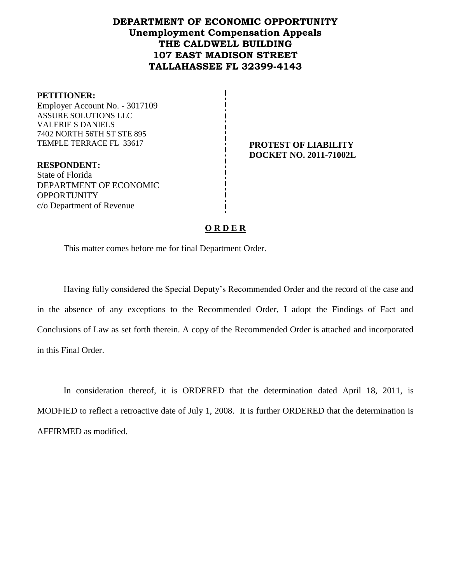## **DEPARTMENT OF ECONOMIC OPPORTUNITY Unemployment Compensation Appeals THE CALDWELL BUILDING 107 EAST MADISON STREET TALLAHASSEE FL 32399-4143**

#### **PETITIONER:**

Employer Account No. - 3017109 ASSURE SOLUTIONS LLC VALERIE S DANIELS 7402 NORTH 56TH ST STE 895 TEMPLE TERRACE FL 33617 **PROTEST OF LIABILITY**

**RESPONDENT:** State of Florida DEPARTMENT OF ECONOMIC OPPORTUNITY c/o Department of Revenue

# **DOCKET NO. 2011-71002L**

## **O R D E R**

This matter comes before me for final Department Order.

Having fully considered the Special Deputy's Recommended Order and the record of the case and in the absence of any exceptions to the Recommended Order, I adopt the Findings of Fact and Conclusions of Law as set forth therein. A copy of the Recommended Order is attached and incorporated in this Final Order.

In consideration thereof, it is ORDERED that the determination dated April 18, 2011, is MODFIED to reflect a retroactive date of July 1, 2008. It is further ORDERED that the determination is AFFIRMED as modified.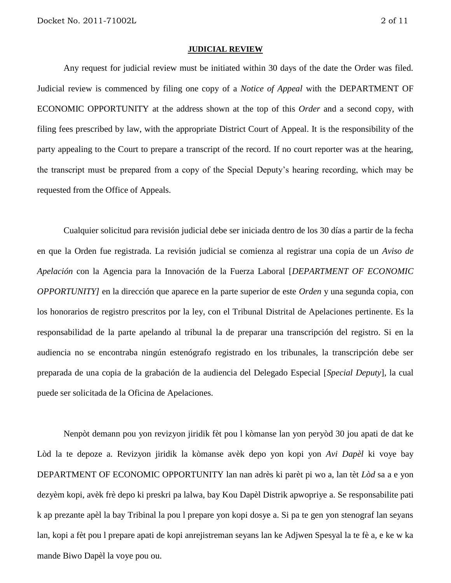#### **JUDICIAL REVIEW**

Any request for judicial review must be initiated within 30 days of the date the Order was filed. Judicial review is commenced by filing one copy of a *Notice of Appeal* with the DEPARTMENT OF ECONOMIC OPPORTUNITY at the address shown at the top of this *Order* and a second copy, with filing fees prescribed by law, with the appropriate District Court of Appeal. It is the responsibility of the party appealing to the Court to prepare a transcript of the record. If no court reporter was at the hearing, the transcript must be prepared from a copy of the Special Deputy's hearing recording, which may be requested from the Office of Appeals.

Cualquier solicitud para revisión judicial debe ser iniciada dentro de los 30 días a partir de la fecha en que la Orden fue registrada. La revisión judicial se comienza al registrar una copia de un *Aviso de Apelación* con la Agencia para la Innovación de la Fuerza Laboral [*DEPARTMENT OF ECONOMIC OPPORTUNITY]* en la dirección que aparece en la parte superior de este *Orden* y una segunda copia, con los honorarios de registro prescritos por la ley, con el Tribunal Distrital de Apelaciones pertinente. Es la responsabilidad de la parte apelando al tribunal la de preparar una transcripción del registro. Si en la audiencia no se encontraba ningún estenógrafo registrado en los tribunales, la transcripción debe ser preparada de una copia de la grabación de la audiencia del Delegado Especial [*Special Deputy*], la cual puede ser solicitada de la Oficina de Apelaciones.

Nenpòt demann pou yon revizyon jiridik fèt pou l kòmanse lan yon peryòd 30 jou apati de dat ke Lòd la te depoze a. Revizyon jiridik la kòmanse avèk depo yon kopi yon *Avi Dapèl* ki voye bay DEPARTMENT OF ECONOMIC OPPORTUNITY lan nan adrès ki parèt pi wo a, lan tèt *Lòd* sa a e yon dezyèm kopi, avèk frè depo ki preskri pa lalwa, bay Kou Dapèl Distrik apwopriye a. Se responsabilite pati k ap prezante apèl la bay Tribinal la pou l prepare yon kopi dosye a. Si pa te gen yon stenograf lan seyans lan, kopi a fèt pou l prepare apati de kopi anrejistreman seyans lan ke Adjwen Spesyal la te fè a, e ke w ka mande Biwo Dapèl la voye pou ou.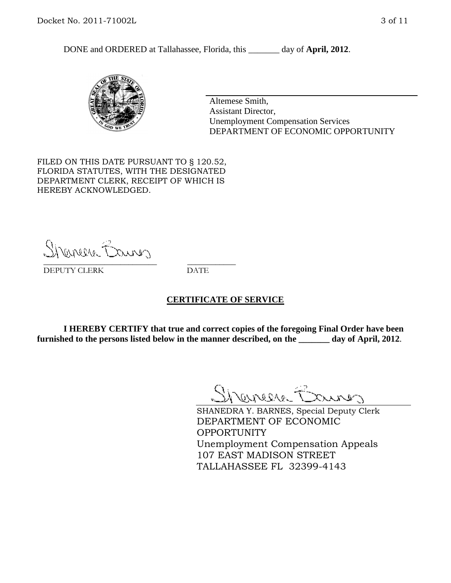DONE and ORDERED at Tallahassee, Florida, this day of **April, 2012**.



Altemese Smith, Assistant Director, Unemployment Compensation Services DEPARTMENT OF ECONOMIC OPPORTUNITY

FILED ON THIS DATE PURSUANT TO § 120.52, FLORIDA STATUTES, WITH THE DESIGNATED DEPARTMENT CLERK, RECEIPT OF WHICH IS HEREBY ACKNOWLEDGED.

Shener Barres \_\_\_\_\_\_\_\_\_\_\_\_\_\_\_\_\_\_\_\_\_\_\_\_\_\_\_\_ \_\_\_\_\_\_\_\_\_\_\_\_

DEPUTY CLERK DATE

#### **CERTIFICATE OF SERVICE**

**I HEREBY CERTIFY that true and correct copies of the foregoing Final Order have been furnished to the persons listed below in the manner described, on the \_\_\_\_\_\_\_ day of April, 2012**.

Shaner Barnes

SHANEDRA Y. BARNES, Special Deputy Clerk DEPARTMENT OF ECONOMIC OPPORTUNITY Unemployment Compensation Appeals 107 EAST MADISON STREET TALLAHASSEE FL 32399-4143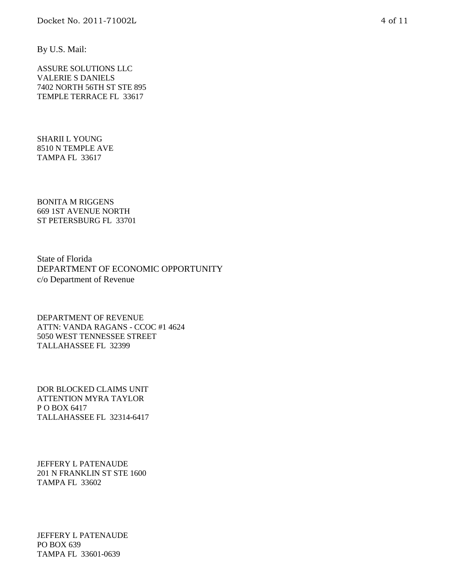By U.S. Mail:

ASSURE SOLUTIONS LLC VALERIE S DANIELS 7402 NORTH 56TH ST STE 895 TEMPLE TERRACE FL 33617

SHARII L YOUNG 8510 N TEMPLE AVE TAMPA FL 33617

BONITA M RIGGENS 669 1ST AVENUE NORTH ST PETERSBURG FL 33701

State of Florida DEPARTMENT OF ECONOMIC OPPORTUNITY c/o Department of Revenue

DEPARTMENT OF REVENUE ATTN: VANDA RAGANS - CCOC #1 4624 5050 WEST TENNESSEE STREET TALLAHASSEE FL 32399

DOR BLOCKED CLAIMS UNIT ATTENTION MYRA TAYLOR P O BOX 6417 TALLAHASSEE FL 32314-6417

JEFFERY L PATENAUDE 201 N FRANKLIN ST STE 1600 TAMPA FL 33602

JEFFERY L PATENAUDE PO BOX 639 TAMPA FL 33601-0639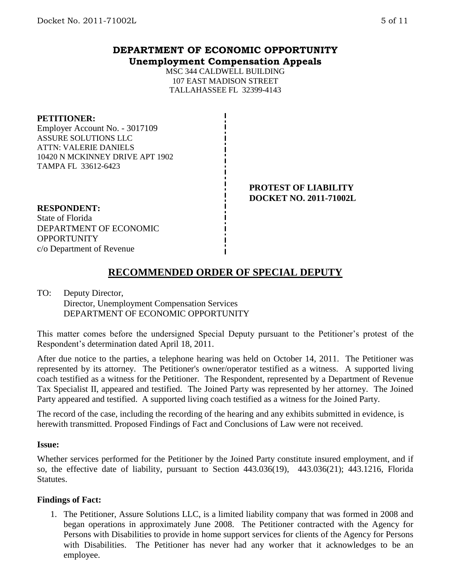## **DEPARTMENT OF ECONOMIC OPPORTUNITY Unemployment Compensation Appeals**

MSC 344 CALDWELL BUILDING 107 EAST MADISON STREET TALLAHASSEE FL 32399-4143

#### **PETITIONER:**

Employer Account No. - 3017109 ASSURE SOLUTIONS LLC ATTN: VALERIE DANIELS 10420 N MCKINNEY DRIVE APT 1902 TAMPA FL 33612-6423

> **PROTEST OF LIABILITY DOCKET NO. 2011-71002L**

#### **RESPONDENT:**

State of Florida DEPARTMENT OF ECONOMIC **OPPORTUNITY** c/o Department of Revenue

## **RECOMMENDED ORDER OF SPECIAL DEPUTY**

## TO: Deputy Director, Director, Unemployment Compensation Services DEPARTMENT OF ECONOMIC OPPORTUNITY

This matter comes before the undersigned Special Deputy pursuant to the Petitioner's protest of the Respondent's determination dated April 18, 2011.

After due notice to the parties, a telephone hearing was held on October 14, 2011. The Petitioner was represented by its attorney. The Petitioner's owner/operator testified as a witness. A supported living coach testified as a witness for the Petitioner. The Respondent, represented by a Department of Revenue Tax Specialist II, appeared and testified. The Joined Party was represented by her attorney. The Joined Party appeared and testified. A supported living coach testified as a witness for the Joined Party.

The record of the case, including the recording of the hearing and any exhibits submitted in evidence, is herewith transmitted. Proposed Findings of Fact and Conclusions of Law were not received.

#### **Issue:**

Whether services performed for the Petitioner by the Joined Party constitute insured employment, and if so, the effective date of liability, pursuant to Section 443.036(19), 443.036(21); 443.1216, Florida **Statutes.** 

#### **Findings of Fact:**

1. The Petitioner, Assure Solutions LLC, is a limited liability company that was formed in 2008 and began operations in approximately June 2008. The Petitioner contracted with the Agency for Persons with Disabilities to provide in home support services for clients of the Agency for Persons with Disabilities. The Petitioner has never had any worker that it acknowledges to be an employee.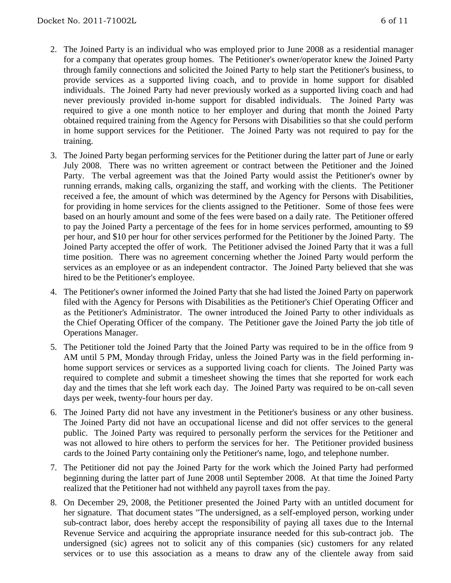- 2. The Joined Party is an individual who was employed prior to June 2008 as a residential manager for a company that operates group homes. The Petitioner's owner/operator knew the Joined Party through family connections and solicited the Joined Party to help start the Petitioner's business, to provide services as a supported living coach, and to provide in home support for disabled individuals. The Joined Party had never previously worked as a supported living coach and had never previously provided in-home support for disabled individuals. The Joined Party was required to give a one month notice to her employer and during that month the Joined Party obtained required training from the Agency for Persons with Disabilities so that she could perform in home support services for the Petitioner. The Joined Party was not required to pay for the training.
- 3. The Joined Party began performing services for the Petitioner during the latter part of June or early July 2008. There was no written agreement or contract between the Petitioner and the Joined Party. The verbal agreement was that the Joined Party would assist the Petitioner's owner by running errands, making calls, organizing the staff, and working with the clients. The Petitioner received a fee, the amount of which was determined by the Agency for Persons with Disabilities, for providing in home services for the clients assigned to the Petitioner. Some of those fees were based on an hourly amount and some of the fees were based on a daily rate. The Petitioner offered to pay the Joined Party a percentage of the fees for in home services performed, amounting to \$9 per hour, and \$10 per hour for other services performed for the Petitioner by the Joined Party. The Joined Party accepted the offer of work. The Petitioner advised the Joined Party that it was a full time position. There was no agreement concerning whether the Joined Party would perform the services as an employee or as an independent contractor. The Joined Party believed that she was hired to be the Petitioner's employee.
- 4. The Petitioner's owner informed the Joined Party that she had listed the Joined Party on paperwork filed with the Agency for Persons with Disabilities as the Petitioner's Chief Operating Officer and as the Petitioner's Administrator. The owner introduced the Joined Party to other individuals as the Chief Operating Officer of the company. The Petitioner gave the Joined Party the job title of Operations Manager.
- 5. The Petitioner told the Joined Party that the Joined Party was required to be in the office from 9 AM until 5 PM, Monday through Friday, unless the Joined Party was in the field performing inhome support services or services as a supported living coach for clients. The Joined Party was required to complete and submit a timesheet showing the times that she reported for work each day and the times that she left work each day. The Joined Party was required to be on-call seven days per week, twenty-four hours per day.
- 6. The Joined Party did not have any investment in the Petitioner's business or any other business. The Joined Party did not have an occupational license and did not offer services to the general public. The Joined Party was required to personally perform the services for the Petitioner and was not allowed to hire others to perform the services for her. The Petitioner provided business cards to the Joined Party containing only the Petitioner's name, logo, and telephone number.
- 7. The Petitioner did not pay the Joined Party for the work which the Joined Party had performed beginning during the latter part of June 2008 until September 2008. At that time the Joined Party realized that the Petitioner had not withheld any payroll taxes from the pay.
- 8. On December 29, 2008, the Petitioner presented the Joined Party with an untitled document for her signature. That document states "The undersigned, as a self-employed person, working under sub-contract labor, does hereby accept the responsibility of paying all taxes due to the Internal Revenue Service and acquiring the appropriate insurance needed for this sub-contract job. The undersigned (sic) agrees not to solicit any of this companies (sic) customers for any related services or to use this association as a means to draw any of the clientele away from said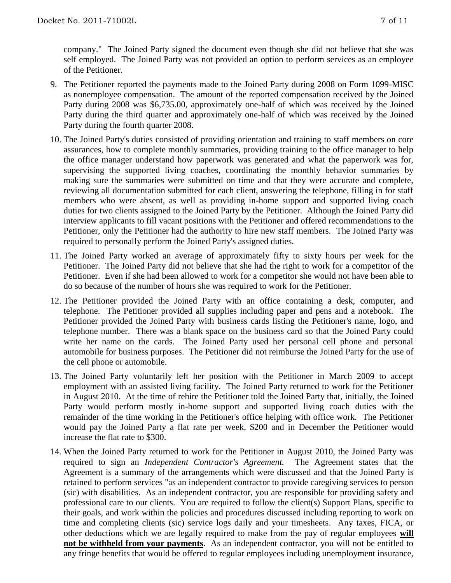company." The Joined Party signed the document even though she did not believe that she was self employed. The Joined Party was not provided an option to perform services as an employee of the Petitioner.

- 9. The Petitioner reported the payments made to the Joined Party during 2008 on Form 1099-MISC as nonemployee compensation. The amount of the reported compensation received by the Joined Party during 2008 was \$6,735.00, approximately one-half of which was received by the Joined Party during the third quarter and approximately one-half of which was received by the Joined Party during the fourth quarter 2008.
- 10. The Joined Party's duties consisted of providing orientation and training to staff members on core assurances, how to complete monthly summaries, providing training to the office manager to help the office manager understand how paperwork was generated and what the paperwork was for, supervising the supported living coaches, coordinating the monthly behavior summaries by making sure the summaries were submitted on time and that they were accurate and complete, reviewing all documentation submitted for each client, answering the telephone, filling in for staff members who were absent, as well as providing in-home support and supported living coach duties for two clients assigned to the Joined Party by the Petitioner. Although the Joined Party did interview applicants to fill vacant positions with the Petitioner and offered recommendations to the Petitioner, only the Petitioner had the authority to hire new staff members. The Joined Party was required to personally perform the Joined Party's assigned duties.
- 11. The Joined Party worked an average of approximately fifty to sixty hours per week for the Petitioner. The Joined Party did not believe that she had the right to work for a competitor of the Petitioner. Even if she had been allowed to work for a competitor she would not have been able to do so because of the number of hours she was required to work for the Petitioner.
- 12. The Petitioner provided the Joined Party with an office containing a desk, computer, and telephone. The Petitioner provided all supplies including paper and pens and a notebook. The Petitioner provided the Joined Party with business cards listing the Petitioner's name, logo, and telephone number. There was a blank space on the business card so that the Joined Party could write her name on the cards. The Joined Party used her personal cell phone and personal automobile for business purposes. The Petitioner did not reimburse the Joined Party for the use of the cell phone or automobile.
- 13. The Joined Party voluntarily left her position with the Petitioner in March 2009 to accept employment with an assisted living facility. The Joined Party returned to work for the Petitioner in August 2010. At the time of rehire the Petitioner told the Joined Party that, initially, the Joined Party would perform mostly in-home support and supported living coach duties with the remainder of the time working in the Petitioner's office helping with office work. The Petitioner would pay the Joined Party a flat rate per week, \$200 and in December the Petitioner would increase the flat rate to \$300.
- 14. When the Joined Party returned to work for the Petitioner in August 2010, the Joined Party was required to sign an *Independent Contractor's Agreement.* The Agreement states that the Agreement is a summary of the arrangements which were discussed and that the Joined Party is retained to perform services "as an independent contractor to provide caregiving services to person (sic) with disabilities. As an independent contractor, you are responsible for providing safety and professional care to our clients. You are required to follow the client(s) Support Plans, specific to their goals, and work within the policies and procedures discussed including reporting to work on time and completing clients (sic) service logs daily and your timesheets. Any taxes, FICA, or other deductions which we are legally required to make from the pay of regular employees **will not be withheld from your payments**. As an independent contractor, you will not be entitled to any fringe benefits that would be offered to regular employees including unemployment insurance,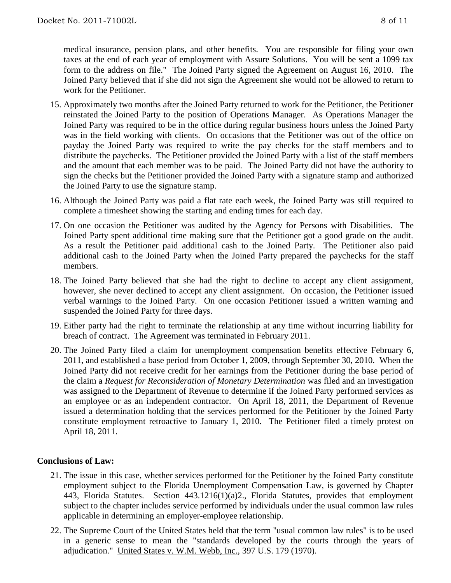medical insurance, pension plans, and other benefits. You are responsible for filing your own taxes at the end of each year of employment with Assure Solutions. You will be sent a 1099 tax form to the address on file." The Joined Party signed the Agreement on August 16, 2010. The Joined Party believed that if she did not sign the Agreement she would not be allowed to return to work for the Petitioner.

- 15. Approximately two months after the Joined Party returned to work for the Petitioner, the Petitioner reinstated the Joined Party to the position of Operations Manager. As Operations Manager the Joined Party was required to be in the office during regular business hours unless the Joined Party was in the field working with clients. On occasions that the Petitioner was out of the office on payday the Joined Party was required to write the pay checks for the staff members and to distribute the paychecks. The Petitioner provided the Joined Party with a list of the staff members and the amount that each member was to be paid. The Joined Party did not have the authority to sign the checks but the Petitioner provided the Joined Party with a signature stamp and authorized the Joined Party to use the signature stamp.
- 16. Although the Joined Party was paid a flat rate each week, the Joined Party was still required to complete a timesheet showing the starting and ending times for each day.
- 17. On one occasion the Petitioner was audited by the Agency for Persons with Disabilities. The Joined Party spent additional time making sure that the Petitioner got a good grade on the audit. As a result the Petitioner paid additional cash to the Joined Party. The Petitioner also paid additional cash to the Joined Party when the Joined Party prepared the paychecks for the staff members.
- 18. The Joined Party believed that she had the right to decline to accept any client assignment, however, she never declined to accept any client assignment. On occasion, the Petitioner issued verbal warnings to the Joined Party. On one occasion Petitioner issued a written warning and suspended the Joined Party for three days.
- 19. Either party had the right to terminate the relationship at any time without incurring liability for breach of contract. The Agreement was terminated in February 2011.
- 20. The Joined Party filed a claim for unemployment compensation benefits effective February 6, 2011, and established a base period from October 1, 2009, through September 30, 2010. When the Joined Party did not receive credit for her earnings from the Petitioner during the base period of the claim a *Request for Reconsideration of Monetary Determination* was filed and an investigation was assigned to the Department of Revenue to determine if the Joined Party performed services as an employee or as an independent contractor. On April 18, 2011, the Department of Revenue issued a determination holding that the services performed for the Petitioner by the Joined Party constitute employment retroactive to January 1, 2010. The Petitioner filed a timely protest on April 18, 2011.

## **Conclusions of Law:**

- 21. The issue in this case, whether services performed for the Petitioner by the Joined Party constitute employment subject to the Florida Unemployment Compensation Law, is governed by Chapter 443, Florida Statutes. Section 443.1216(1)(a)2., Florida Statutes, provides that employment subject to the chapter includes service performed by individuals under the usual common law rules applicable in determining an employer-employee relationship.
- 22. The Supreme Court of the United States held that the term "usual common law rules" is to be used in a generic sense to mean the "standards developed by the courts through the years of adjudication." United States v. W.M. Webb, Inc., 397 U.S. 179 (1970).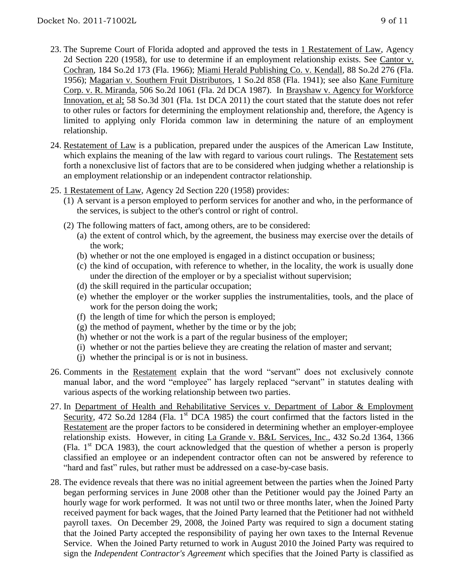- 23. The Supreme Court of Florida adopted and approved the tests in 1 Restatement of Law, Agency 2d Section 220 (1958), for use to determine if an employment relationship exists. See Cantor v. Cochran, 184 So.2d 173 (Fla. 1966); Miami Herald Publishing Co. v. Kendall, 88 So.2d 276 (Fla. 1956); Magarian v. Southern Fruit Distributors, 1 So.2d 858 (Fla. 1941); see also Kane Furniture Corp. v. R. Miranda, 506 So.2d 1061 (Fla. 2d DCA 1987). In Brayshaw v. Agency for Workforce Innovation, et al; 58 So.3d 301 (Fla. 1st DCA 2011) the court stated that the statute does not refer to other rules or factors for determining the employment relationship and, therefore, the Agency is limited to applying only Florida common law in determining the nature of an employment relationship.
- 24. Restatement of Law is a publication, prepared under the auspices of the American Law Institute, which explains the meaning of the law with regard to various court rulings. The Restatement sets forth a nonexclusive list of factors that are to be considered when judging whether a relationship is an employment relationship or an independent contractor relationship.
- 25. 1 Restatement of Law, Agency 2d Section 220 (1958) provides:
	- (1) A servant is a person employed to perform services for another and who, in the performance of the services, is subject to the other's control or right of control.
	- (2) The following matters of fact, among others, are to be considered:
		- (a) the extent of control which, by the agreement, the business may exercise over the details of the work;
		- (b) whether or not the one employed is engaged in a distinct occupation or business;
		- (c) the kind of occupation, with reference to whether, in the locality, the work is usually done under the direction of the employer or by a specialist without supervision;
		- (d) the skill required in the particular occupation;
		- (e) whether the employer or the worker supplies the instrumentalities, tools, and the place of work for the person doing the work;
		- (f) the length of time for which the person is employed;
		- $(g)$  the method of payment, whether by the time or by the job;
		- (h) whether or not the work is a part of the regular business of the employer;
		- (i) whether or not the parties believe they are creating the relation of master and servant;
		- (j) whether the principal is or is not in business.
- 26. Comments in the Restatement explain that the word "servant" does not exclusively connote manual labor, and the word "employee" has largely replaced "servant" in statutes dealing with various aspects of the working relationship between two parties.
- 27. In Department of Health and Rehabilitative Services v. Department of Labor & Employment Security, 472 So.2d 1284 (Fla. 1<sup>st</sup> DCA 1985) the court confirmed that the factors listed in the Restatement are the proper factors to be considered in determining whether an employer-employee relationship exists. However, in citing La Grande v. B&L Services, Inc., 432 So.2d 1364, 1366 (Fla. 1st DCA 1983), the court acknowledged that the question of whether a person is properly classified an employee or an independent contractor often can not be answered by reference to "hard and fast" rules, but rather must be addressed on a case-by-case basis.
- 28. The evidence reveals that there was no initial agreement between the parties when the Joined Party began performing services in June 2008 other than the Petitioner would pay the Joined Party an hourly wage for work performed. It was not until two or three months later, when the Joined Party received payment for back wages, that the Joined Party learned that the Petitioner had not withheld payroll taxes. On December 29, 2008, the Joined Party was required to sign a document stating that the Joined Party accepted the responsibility of paying her own taxes to the Internal Revenue Service. When the Joined Party returned to work in August 2010 the Joined Party was required to sign the *Independent Contractor's Agreement* which specifies that the Joined Party is classified as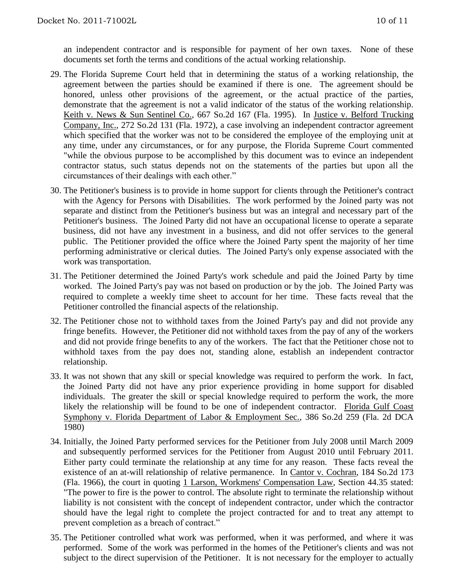an independent contractor and is responsible for payment of her own taxes. None of these documents set forth the terms and conditions of the actual working relationship.

- 29. The Florida Supreme Court held that in determining the status of a working relationship, the agreement between the parties should be examined if there is one. The agreement should be honored, unless other provisions of the agreement, or the actual practice of the parties, demonstrate that the agreement is not a valid indicator of the status of the working relationship. Keith v. News & Sun Sentinel Co., 667 So.2d 167 (Fla. 1995). In Justice v. Belford Trucking Company, Inc., 272 So.2d 131 (Fla. 1972), a case involving an independent contractor agreement which specified that the worker was not to be considered the employee of the employing unit at any time, under any circumstances, or for any purpose, the Florida Supreme Court commented "while the obvious purpose to be accomplished by this document was to evince an independent contractor status, such status depends not on the statements of the parties but upon all the circumstances of their dealings with each other."
- 30. The Petitioner's business is to provide in home support for clients through the Petitioner's contract with the Agency for Persons with Disabilities. The work performed by the Joined party was not separate and distinct from the Petitioner's business but was an integral and necessary part of the Petitioner's business. The Joined Party did not have an occupational license to operate a separate business, did not have any investment in a business, and did not offer services to the general public. The Petitioner provided the office where the Joined Party spent the majority of her time performing administrative or clerical duties. The Joined Party's only expense associated with the work was transportation.
- 31. The Petitioner determined the Joined Party's work schedule and paid the Joined Party by time worked. The Joined Party's pay was not based on production or by the job. The Joined Party was required to complete a weekly time sheet to account for her time. These facts reveal that the Petitioner controlled the financial aspects of the relationship.
- 32. The Petitioner chose not to withhold taxes from the Joined Party's pay and did not provide any fringe benefits. However, the Petitioner did not withhold taxes from the pay of any of the workers and did not provide fringe benefits to any of the workers. The fact that the Petitioner chose not to withhold taxes from the pay does not, standing alone, establish an independent contractor relationship.
- 33. It was not shown that any skill or special knowledge was required to perform the work. In fact, the Joined Party did not have any prior experience providing in home support for disabled individuals. The greater the skill or special knowledge required to perform the work, the more likely the relationship will be found to be one of independent contractor. Florida Gulf Coast Symphony v. Florida Department of Labor & Employment Sec., 386 So.2d 259 (Fla. 2d DCA 1980)
- 34. Initially, the Joined Party performed services for the Petitioner from July 2008 until March 2009 and subsequently performed services for the Petitioner from August 2010 until February 2011. Either party could terminate the relationship at any time for any reason. These facts reveal the existence of an at-will relationship of relative permanence. In Cantor v. Cochran, 184 So.2d 173 (Fla. 1966), the court in quoting 1 Larson, Workmens' Compensation Law, Section 44.35 stated: "The power to fire is the power to control. The absolute right to terminate the relationship without liability is not consistent with the concept of independent contractor, under which the contractor should have the legal right to complete the project contracted for and to treat any attempt to prevent completion as a breach of contract."
- 35. The Petitioner controlled what work was performed, when it was performed, and where it was performed. Some of the work was performed in the homes of the Petitioner's clients and was not subject to the direct supervision of the Petitioner. It is not necessary for the employer to actually